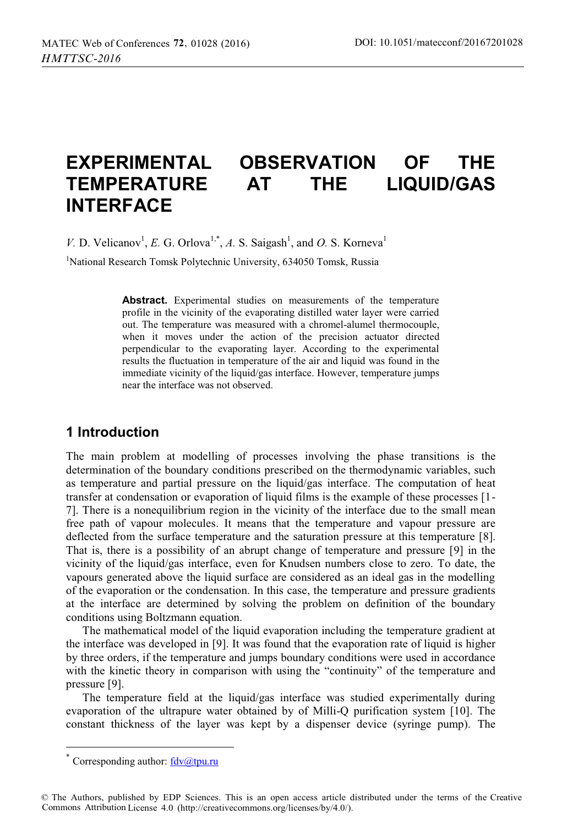# **EXPERIMENTAL OBSERVATION OF THE TEMPERATURE AT THE LIQUID/GAS INTERFACE**

*V*. D. Velicanov<sup>1</sup>, *E.* G. Orlova<sup>1,\*</sup>, *A.* S. Saigash<sup>1</sup>, and *O.* S. Korneva<sup>1</sup>

<sup>1</sup>National Research Tomsk Polytechnic University, 634050 Tomsk, Russia

**Abstract.** Experimental studies on measurements of the temperature profile in the vicinity of the evaporating distilled water layer were carried out. The temperature was measured with a chromel-alumel thermocouple, when it moves under the action of the precision actuator directed perpendicular to the evaporating layer. According to the experimental results the fluctuation in temperature of the air and liquid was found in the immediate vicinity of the liquid/gas interface. However, temperature jumps near the interface was not observed.

## **1 Introduction**

The main problem at modelling of processes involving the phase transitions is the determination of the boundary conditions prescribed on the thermodynamic variables, such as temperature and partial pressure on the liquid/gas interface. The computation of heat transfer at condensation or evaporation of liquid films is the example of these processes [1- 7]. There is a nonequilibrium region in the vicinity of the interface due to the small mean free path of vapour molecules. It means that the temperature and vapour pressure are deflected from the surface temperature and the saturation pressure at this temperature [8]. That is, there is a possibility of an abrupt change of temperature and pressure [9] in the vicinity of the liquid/gas interface, even for Knudsen numbers close to zero. To date, the vapours generated above the liquid surface are considered as an ideal gas in the modelling of the evaporation or the condensation. In this case, the temperature and pressure gradients at the interface are determined by solving the problem on definition of the boundary conditions using Boltzmann equation.

The mathematical model of the liquid evaporation including the temperature gradient at the interface was developed in [9]. It was found that the evaporation rate of liquid is higher by three orders, if the temperature and jumps boundary conditions were used in accordance with the kinetic theory in comparison with using the "continuity" of the temperature and pressure [9].

The temperature field at the liquid/gas interface was studied experimentally during evaporation of the ultrapure water obtained by of Milli-Q purification system [10]. The constant thickness of the layer was kept by a dispenser device (syringe pump). The

 $\overline{a}$ 

Corresponding author:  $\frac{fdv}{dt}$ tpu.ru

<sup>©</sup> The Authors, published by EDP Sciences. This is an open access article distributed under the terms of the Creative Commons Attribution License 4.0 (http://creativecommons.org/licenses/by/4.0/).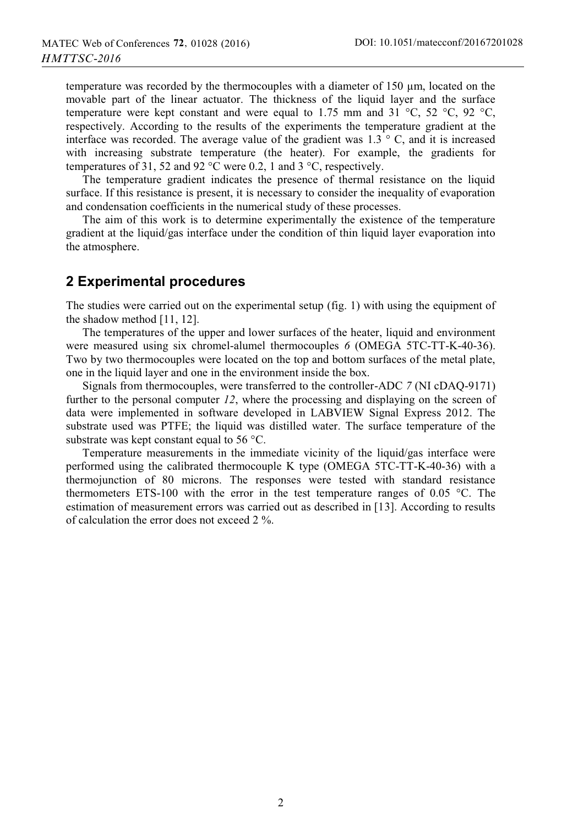temperature was recorded by the thermocouples with a diameter of 150 μm, located on the movable part of the linear actuator. The thickness of the liquid layer and the surface temperature were kept constant and were equal to 1.75 mm and 31  $^{\circ}$ C, 52  $^{\circ}$ C, 92  $^{\circ}$ C, respectively. According to the results of the experiments the temperature gradient at the interface was recorded. The average value of the gradient was  $1.3 \degree$  C, and it is increased with increasing substrate temperature (the heater). For example, the gradients for temperatures of 31, 52 and 92 °C were 0.2, 1 and 3 °C, respectively.

The temperature gradient indicates the presence of thermal resistance on the liquid surface. If this resistance is present, it is necessary to consider the inequality of evaporation and condensation coefficients in the numerical study of these processes.

The aim of this work is to determine experimentally the existence of the temperature gradient at the liquid/gas interface under the condition of thin liquid layer evaporation into the atmosphere.

#### **2 Experimental procedures**

The studies were carried out on the experimental setup (fig. 1) with using the equipment of the shadow method [11, 12].

The temperatures of the upper and lower surfaces of the heater, liquid and environment were measured using six chromel-alumel thermocouples *6* (OMEGA 5TC-TT-K-40-36). Two by two thermocouples were located on the top and bottom surfaces of the metal plate, one in the liquid layer and one in the environment inside the box.

Signals from thermocouples, were transferred to the controller-ADC *7* (NI cDAQ-9171) further to the personal computer *12*, where the processing and displaying on the screen of data were implemented in software developed in LABVIEW Signal Express 2012. The substrate used was PTFE; the liquid was distilled water. The surface temperature of the substrate was kept constant equal to 56 °C.

Temperature measurements in the immediate vicinity of the liquid/gas interface were performed using the calibrated thermocouple K type (OMEGA 5TC-TT-K-40-36) with a thermojunction of 80 microns. The responses were tested with standard resistance thermometers ETS-100 with the error in the test temperature ranges of 0.05  $^{\circ}$ C. The estimation of measurement errors was carried out as described in [13]. According to results of calculation the error does not exceed 2 %.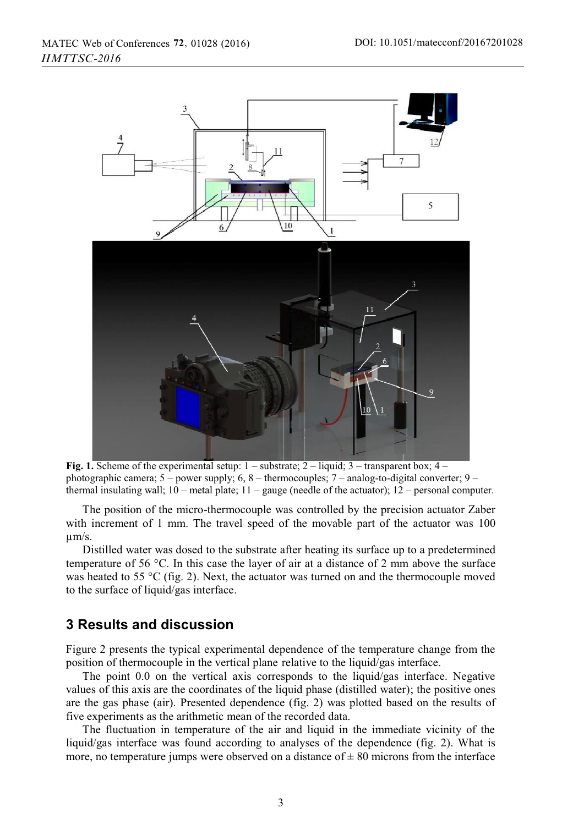

Fig. 1. Scheme of the experimental setup:  $1$  – substrate;  $2$  – liquid;  $3$  – transparent box;  $4$  – photographic camera; 5 – power supply; 6, 8 – thermocouples; 7 – analog-to-digital converter; 9 – thermal insulating wall;  $10$  – metal plate;  $11$  – gauge (needle of the actuator);  $12$  – personal computer.

The position of the micro-thermocouple was controlled by the precision actuator Zaber with increment of 1 mm. The travel speed of the movable part of the actuator was 100 μm/s.

Distilled water was dosed to the substrate after heating its surface up to a predetermined temperature of 56 °C. In this case the layer of air at a distance of 2 mm above the surface was heated to 55  $\rm{^{\circ}C}$  (fig. 2). Next, the actuator was turned on and the thermocouple moved to the surface of liquid/gas interface.

#### **3 Results and discussion**

Figure 2 presents the typical experimental dependence of the temperature change from the position of thermocouple in the vertical plane relative to the liquid/gas interface.

The point 0.0 on the vertical axis corresponds to the liquid/gas interface. Negative values of this axis are the coordinates of the liquid phase (distilled water); the positive ones are the gas phase (air). Presented dependence (fig. 2) was plotted based on the results of five experiments as the arithmetic mean of the recorded data.

The fluctuation in temperature of the air and liquid in the immediate vicinity of the liquid/gas interface was found according to analyses of the dependence (fig. 2). What is more, no temperature jumps were observed on a distance of  $\pm 80$  microns from the interface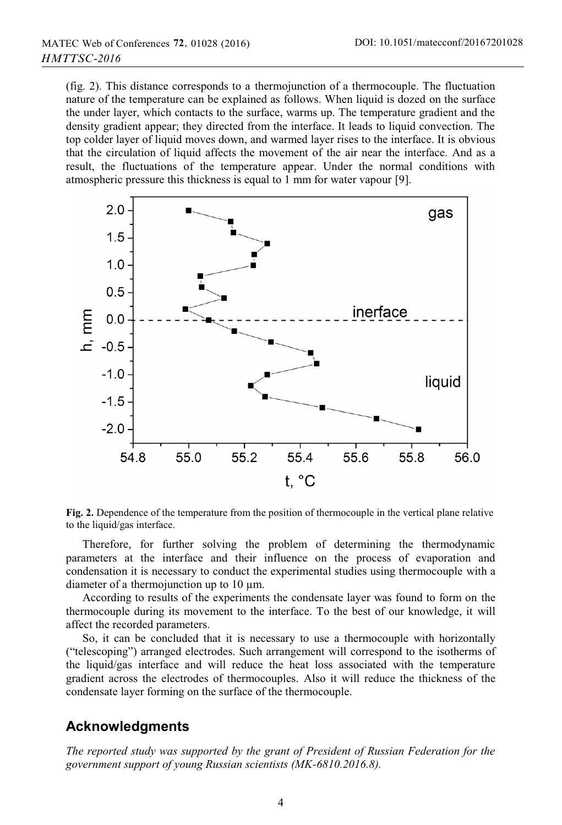(fig. 2). This distance corresponds to a thermojunction of a thermocouple. The fluctuation nature of the temperature can be explained as follows. When liquid is dozed on the surface the under layer, which contacts to the surface, warms up. The temperature gradient and the density gradient appear; they directed from the interface. It leads to liquid convection. The top colder layer of liquid moves down, and warmed layer rises to the interface. It is obvious that the circulation of liquid affects the movement of the air near the interface. And as a result, the fluctuations of the temperature appear. Under the normal conditions with atmospheric pressure this thickness is equal to 1 mm for water vapour [9].



**Fig. 2.** Dependence of the temperature from the position of thermocouple in the vertical plane relative to the liquid/gas interface.

Therefore, for further solving the problem of determining the thermodynamic parameters at the interface and their influence on the process of evaporation and condensation it is necessary to conduct the experimental studies using thermocouple with a diameter of a thermojunction up to 10 μm.

According to results of the experiments the condensate layer was found to form on the thermocouple during its movement to the interface. To the best of our knowledge, it will affect the recorded parameters.

So, it can be concluded that it is necessary to use a thermocouple with horizontally ("telescoping") arranged electrodes. Such arrangement will correspond to the isotherms of the liquid/gas interface and will reduce the heat loss associated with the temperature gradient across the electrodes of thermocouples. Also it will reduce the thickness of the condensate layer forming on the surface of the thermocouple.

## **Acknowledgments**

*The reported study was supported by the grant of President of Russian Federation for the government support of young Russian scientists (MK-6810.2016.8).*